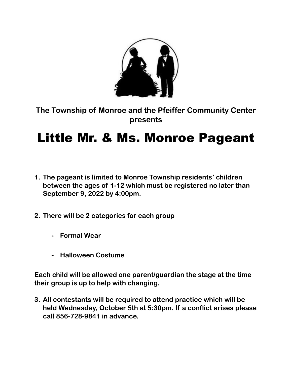

**The Township of Monroe and the Pfeiffer Community Center presents**

## Little Mr. & Ms. Monroe Pageant

- **1. The pageant is limited to Monroe Township residents' children between the ages of 1-12 which must be registered no later than September 9, 2022 by 4:00pm.**
- **2. There will be 2 categories for each group**
	- **- Formal Wear**
	- **- Halloween Costume**

**Each child will be allowed one parent/guardian the stage at the time their group is up to help with changing.** 

**3. All contestants will be required to attend practice which will be held Wednesday, October 5th at 5:30pm. If a conflict arises please call 856-728-9841 in advance.**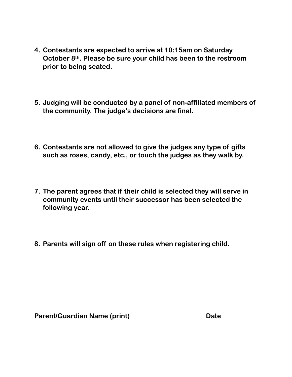- **4. Contestants are expected to arrive at 10:15am on Saturday October 8th. Please be sure your child has been to the restroom prior to being seated.**
- **5. Judging will be conducted by a panel of non-affiliated members of the community. The judge's decisions are final.**
- **6. Contestants are not allowed to give the judges any type of gifts such as roses, candy, etc., or touch the judges as they walk by.**
- **7. The parent agrees that if their child is selected they will serve in community events until their successor has been selected the following year.**
- **8. Parents will sign off on these rules when registering child.**

**\_\_\_\_\_\_\_\_\_\_\_\_\_\_\_\_\_\_\_\_\_\_\_\_\_\_\_\_\_\_\_\_\_ \_\_\_\_\_\_\_\_\_\_\_\_\_**

**Parent/Guardian Name (print) Date**